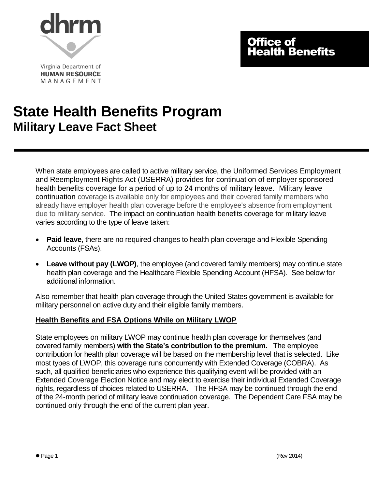

# Office of Health Benefits

Virginia Department of **HUMAN RESOURCE** MANAGEMENT

# **State Health Benefits Program Military Leave Fact Sheet**

When state employees are called to active military service, the Uniformed Services Employment and Reemployment Rights Act (USERRA) provides for continuation of employer sponsored health benefits coverage for a period of up to 24 months of military leave. Military leave continuation coverage is available only for employees and their covered family members who already have employer health plan coverage before the employee's absence from employment due to military service. The impact on continuation health benefits coverage for military leave varies according to the type of leave taken:

- **Paid leave**, there are no required changes to health plan coverage and Flexible Spending Accounts (FSAs).
- **Leave without pay (LWOP)**, the employee (and covered family members) may continue state health plan coverage and the Healthcare Flexible Spending Account (HFSA). See below for additional information.

Also remember that health plan coverage through the United States government is available for military personnel on active duty and their eligible family members.

# **Health Benefits and FSA Options While on Military LWOP**

State employees on military LWOP may continue health plan coverage for themselves (and covered family members) **with the State's contribution to the premium.** The employee contribution for health plan coverage will be based on the membership level that is selected. Like most types of LWOP, this coverage runs concurrently with Extended Coverage (COBRA). As such, all qualified beneficiaries who experience this qualifying event will be provided with an Extended Coverage Election Notice and may elect to exercise their individual Extended Coverage rights, regardless of choices related to USERRA. The HFSA may be continued through the end of the 24-month period of military leave continuation coverage. The Dependent Care FSA may be continued only through the end of the current plan year.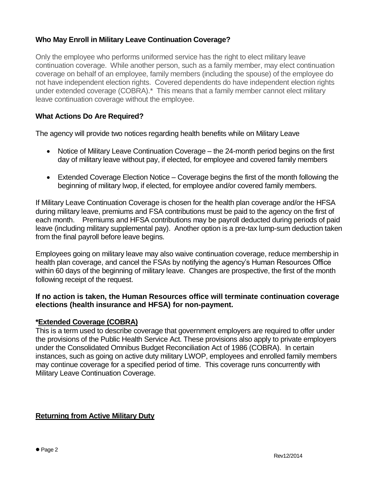# **Who May Enroll in Military Leave Continuation Coverage?**

Only the employee who performs uniformed service has the right to elect military leave continuation coverage. While another person, such as a family member, may elect continuation coverage on behalf of an employee, family members (including the spouse) of the employee do not have independent election rights. Covered dependents do have independent election rights under extended coverage (COBRA).\* This means that a family member cannot elect military leave continuation coverage without the employee.

### **What Actions Do Are Required?**

The agency will provide two notices regarding health benefits while on Military Leave

- Notice of Military Leave Continuation Coverage the 24-month period begins on the first day of military leave without pay, if elected, for employee and covered family members
- Extended Coverage Election Notice Coverage begins the first of the month following the beginning of military lwop, if elected, for employee and/or covered family members.

If Military Leave Continuation Coverage is chosen for the health plan coverage and/or the HFSA during military leave, premiums and FSA contributions must be paid to the agency on the first of each month. Premiums and HFSA contributions may be payroll deducted during periods of paid leave (including military supplemental pay). Another option is a pre-tax lump-sum deduction taken from the final payroll before leave begins.

Employees going on military leave may also waive continuation coverage, reduce membership in health plan coverage, and cancel the FSAs by notifying the agency's Human Resources Office within 60 days of the beginning of military leave. Changes are prospective, the first of the month following receipt of the request.

#### **If no action is taken, the Human Resources office will terminate continuation coverage elections (health insurance and HFSA) for non-payment.**

#### **\*Extended Coverage (COBRA)**

This is a term used to describe coverage that government employers are required to offer under the provisions of the Public Health Service Act. These provisions also apply to private employers under the Consolidated Omnibus Budget Reconciliation Act of 1986 (COBRA). In certain instances, such as going on active duty military LWOP, employees and enrolled family members may continue coverage for a specified period of time. This coverage runs concurrently with Military Leave Continuation Coverage.

#### **Returning from Active Military Duty**